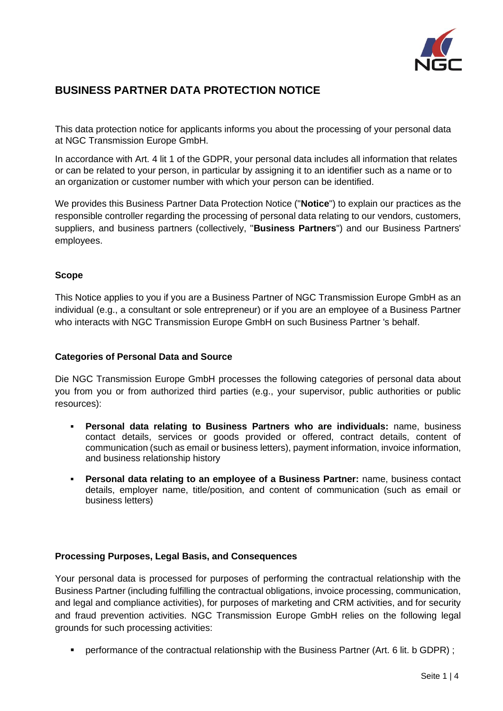

# **BUSINESS PARTNER DATA PROTECTION NOTICE**

This data protection notice for applicants informs you about the processing of your personal data at NGC Transmission Europe GmbH.

In accordance with Art. 4 lit 1 of the GDPR, your personal data includes all information that relates or can be related to your person, in particular by assigning it to an identifier such as a name or to an organization or customer number with which your person can be identified.

We provides this Business Partner Data Protection Notice ("**Notice**") to explain our practices as the responsible controller regarding the processing of personal data relating to our vendors, customers, suppliers, and business partners (collectively, "**Business Partners**") and our Business Partners' employees.

# **Scope**

This Notice applies to you if you are a Business Partner of NGC Transmission Europe GmbH as an individual (e.g., a consultant or sole entrepreneur) or if you are an employee of a Business Partner who interacts with NGC Transmission Europe GmbH on such Business Partner 's behalf.

#### **Categories of Personal Data and Source**

Die NGC Transmission Europe GmbH processes the following categories of personal data about you from you or from authorized third parties (e.g., your supervisor, public authorities or public resources):

- **Personal data relating to Business Partners who are individuals:** name, business contact details, services or goods provided or offered, contract details, content of communication (such as email or business letters), payment information, invoice information, and business relationship history
- **Personal data relating to an employee of a Business Partner:** name, business contact details, employer name, title/position, and content of communication (such as email or business letters)

#### **Processing Purposes, Legal Basis, and Consequences**

Your personal data is processed for purposes of performing the contractual relationship with the Business Partner (including fulfilling the contractual obligations, invoice processing, communication, and legal and compliance activities), for purposes of marketing and CRM activities, and for security and fraud prevention activities. NGC Transmission Europe GmbH relies on the following legal grounds for such processing activities:

**•** performance of the contractual relationship with the Business Partner (Art. 6 lit. b GDPR);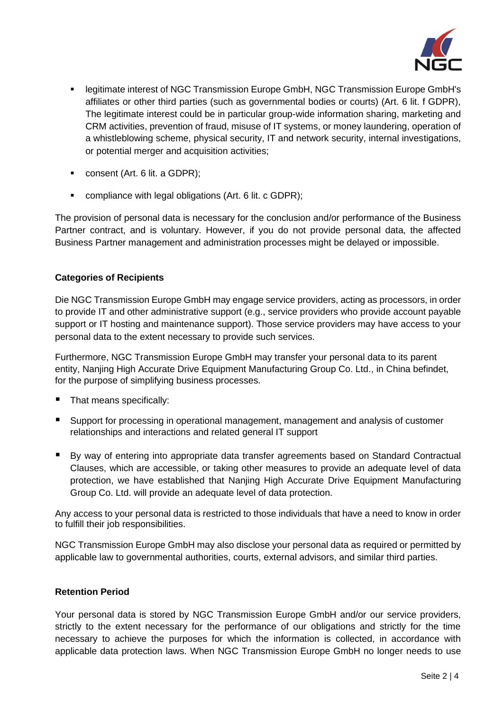

- legitimate interest of NGC Transmission Europe GmbH, NGC Transmission Europe GmbH's affiliates or other third parties (such as governmental bodies or courts) (Art. 6 lit. f GDPR), The legitimate interest could be in particular group-wide information sharing, marketing and CRM activities, prevention of fraud, misuse of IT systems, or money laundering, operation of a whistleblowing scheme, physical security, IT and network security, internal investigations, or potential merger and acquisition activities;
- consent (Art. 6 lit. a GDPR);
- compliance with legal obligations (Art. 6 lit. c GDPR);

The provision of personal data is necessary for the conclusion and/or performance of the Business Partner contract, and is voluntary. However, if you do not provide personal data, the affected Business Partner management and administration processes might be delayed or impossible.

# **Categories of Recipients**

Die NGC Transmission Europe GmbH may engage service providers, acting as processors, in order to provide IT and other administrative support (e.g., service providers who provide account payable support or IT hosting and maintenance support). Those service providers may have access to your personal data to the extent necessary to provide such services.

Furthermore, NGC Transmission Europe GmbH may transfer your personal data to its parent entity, Nanjing High Accurate Drive Equipment Manufacturing Group Co. Ltd., in China befindet, for the purpose of simplifying business processes.

- That means specifically:
- Support for processing in operational management, management and analysis of customer relationships and interactions and related general IT support
- By way of entering into appropriate data transfer agreements based on Standard Contractual Clauses, which are accessible, or taking other measures to provide an adequate level of data protection, we have established that Nanjing High Accurate Drive Equipment Manufacturing Group Co. Ltd. will provide an adequate level of data protection.

Any access to your personal data is restricted to those individuals that have a need to know in order to fulfill their job responsibilities.

NGC Transmission Europe GmbH may also disclose your personal data as required or permitted by applicable law to governmental authorities, courts, external advisors, and similar third parties.

#### **Retention Period**

Your personal data is stored by NGC Transmission Europe GmbH and/or our service providers, strictly to the extent necessary for the performance of our obligations and strictly for the time necessary to achieve the purposes for which the information is collected, in accordance with applicable data protection laws. When NGC Transmission Europe GmbH no longer needs to use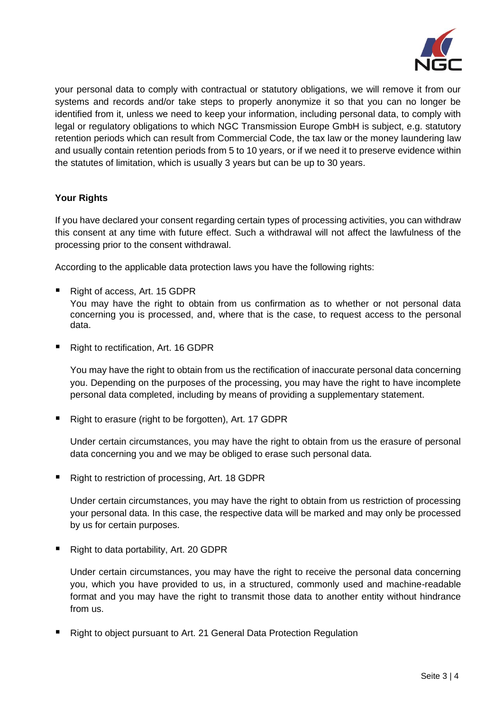

your personal data to comply with contractual or statutory obligations, we will remove it from our systems and records and/or take steps to properly anonymize it so that you can no longer be identified from it, unless we need to keep your information, including personal data, to comply with legal or regulatory obligations to which NGC Transmission Europe GmbH is subject, e.g. statutory retention periods which can result from Commercial Code, the tax law or the money laundering law and usually contain retention periods from 5 to 10 years, or if we need it to preserve evidence within the statutes of limitation, which is usually 3 years but can be up to 30 years.

# **Your Rights**

If you have declared your consent regarding certain types of processing activities, you can withdraw this consent at any time with future effect. Such a withdrawal will not affect the lawfulness of the processing prior to the consent withdrawal.

According to the applicable data protection laws you have the following rights:

- Right of access, Art. 15 GDPR You may have the right to obtain from us confirmation as to whether or not personal data concerning you is processed, and, where that is the case, to request access to the personal data.
- Right to rectification, Art. 16 GDPR

You may have the right to obtain from us the rectification of inaccurate personal data concerning you. Depending on the purposes of the processing, you may have the right to have incomplete personal data completed, including by means of providing a supplementary statement.

■ Right to erasure (right to be forgotten), Art. 17 GDPR

Under certain circumstances, you may have the right to obtain from us the erasure of personal data concerning you and we may be obliged to erase such personal data.

■ Right to restriction of processing, Art. 18 GDPR

Under certain circumstances, you may have the right to obtain from us restriction of processing your personal data. In this case, the respective data will be marked and may only be processed by us for certain purposes.

■ Right to data portability, Art. 20 GDPR

Under certain circumstances, you may have the right to receive the personal data concerning you, which you have provided to us, in a structured, commonly used and machine-readable format and you may have the right to transmit those data to another entity without hindrance from us.

■ Right to object pursuant to Art. 21 General Data Protection Regulation